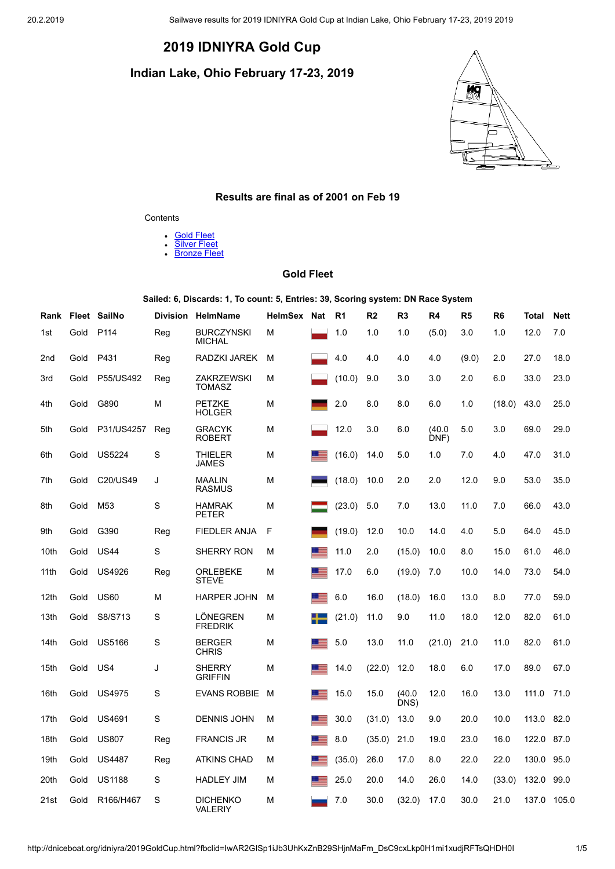# **2019 IDNIYRA Gold Cup**

**Indian Lake, Ohio February 17-23, 2019**



### **Results are final as of 2001 on Feb 19**

#### **Contents**

- $\ddot{\phantom{0}}$ **Gold [Fleet](#page-0-0)**
- [Silver](#page-1-0) Fleet  $\bullet$  $\ddot{\phantom{a}}$
- **[Bronze](#page-2-0) Fleet**

# **Gold Fleet**

**Sailed: 6, Discards: 1, To count: 5, Entries: 39, Scoring system: DN Race System**

<span id="page-0-0"></span>

| Rank            |      | Fleet SailNo     | <b>Division</b> | <b>HelmName</b>                    | HelmSex | <b>Nat</b> | R1     | R <sub>2</sub> | R <sub>3</sub> | R4             | R <sub>5</sub> | R6     | Total | <b>Nett</b> |
|-----------------|------|------------------|-----------------|------------------------------------|---------|------------|--------|----------------|----------------|----------------|----------------|--------|-------|-------------|
| 1st             | Gold | P <sub>114</sub> | Reg             | <b>BURCZYNSKI</b><br><b>MICHAL</b> | M       |            | 1.0    | 1.0            | 1.0            | (5.0)          | 3.0            | 1.0    | 12.0  | 7.0         |
| 2 <sub>nd</sub> | Gold | P431             | Reg             | RADZKI JAREK                       | М       |            | 4.0    | 4.0            | 4.0            | 4.0            | (9.0)          | 2.0    | 27.0  | 18.0        |
| 3rd             | Gold | P55/US492        | Reg             | <b>ZAKRZEWSKI</b><br><b>TOMASZ</b> | M       |            | (10.0) | 9.0            | 3.0            | 3.0            | 2.0            | 6.0    | 33.0  | 23.0        |
| 4th             | Gold | G890             | М               | <b>PETZKE</b><br><b>HOLGER</b>     | M       |            | 2.0    | 8.0            | 8.0            | 6.0            | 1.0            | (18.0) | 43.0  | 25.0        |
| 5th             | Gold | P31/US4257       | Reg             | <b>GRACYK</b><br><b>ROBERT</b>     | M       |            | 12.0   | 3.0            | 6.0            | (40.0)<br>DNF) | 5.0            | 3.0    | 69.0  | 29.0        |
| 6th             | Gold | <b>US5224</b>    | S               | THIELER<br>JAMES                   | M       |            | (16.0) | 14.0           | 5.0            | 1.0            | 7.0            | 4.0    | 47.0  | 31.0        |
| 7th             | Gold | C20/US49         | J               | <b>MAALIN</b><br><b>RASMUS</b>     | M       |            | (18.0) | 10.0           | 2.0            | 2.0            | 12.0           | 9.0    | 53.0  | 35.0        |
| 8th             | Gold | M <sub>53</sub>  | S               | <b>HAMRAK</b><br><b>PETER</b>      | M       |            | (23.0) | 5.0            | 7.0            | 13.0           | 11.0           | 7.0    | 66.0  | 43.0        |
| 9th             | Gold | G390             | Reg             | <b>FIEDLER ANJA</b>                | F       |            | (19.0) | 12.0           | 10.0           | 14.0           | 4.0            | 5.0    | 64.0  | 45.0        |
| 10th            | Gold | <b>US44</b>      | S               | <b>SHERRY RON</b>                  | M       |            | 11.0   | 2.0            | (15.0)         | 10.0           | 8.0            | 15.0   | 61.0  | 46.0        |
| 11th            | Gold | US4926           | Reg             | <b>ORLEBEKE</b><br><b>STEVE</b>    | М       | <b>100</b> | 17.0   | 6.0            | (19.0)         | 7.0            | 10.0           | 14.0   | 73.0  | 54.0        |
| 12th            | Gold | <b>US60</b>      | M               | <b>HARPER JOHN</b>                 | M       | - 22       | 6.0    | 16.0           | (18.0)         | 16.0           | 13.0           | 8.0    | 77.0  | 59.0        |
| 13th            | Gold | S8/S713          | S               | LÖNEGREN<br><b>FREDRIK</b>         | М       |            | (21.0) | 11.0           | 9.0            | 11.0           | 18.0           | 12.0   | 82.0  | 61.0        |
| 14th            | Gold | <b>US5166</b>    | S               | <b>BERGER</b><br><b>CHRIS</b>      | M       |            | 5.0    | 13.0           | 11.0           | (21.0)         | 21.0           | 11.0   | 82.0  | 61.0        |
| 15th            | Gold | US4              | J               | <b>SHERRY</b><br><b>GRIFFIN</b>    | M       |            | 14.0   | (22.0)         | 12.0           | 18.0           | 6.0            | 17.0   | 89.0  | 67.0        |
| 16th            | Gold | <b>US4975</b>    | S               | <b>EVANS ROBBIE</b>                | M       |            | 15.0   | 15.0           | (40.0)<br>DNS) | 12.0           | 16.0           | 13.0   | 111.0 | 71.0        |
| 17th            | Gold | <b>US4691</b>    | S               | <b>DENNIS JOHN</b>                 | M       |            | 30.0   | (31.0)         | 13.0           | 9.0            | 20.0           | 10.0   | 113.0 | 82.0        |
| 18th            | Gold | <b>US807</b>     | Reg             | <b>FRANCIS JR</b>                  | M       |            | 8.0    | (35.0)         | 21.0           | 19.0           | 23.0           | 16.0   | 122.0 | 87.0        |
| 19th            | Gold | <b>US4487</b>    | Reg             | <b>ATKINS CHAD</b>                 | М       |            | (35.0) | 26.0           | 17.0           | 8.0            | 22.0           | 22.0   | 130.0 | 95.0        |
| 20th            | Gold | <b>US1188</b>    | S               | <b>HADLEY JIM</b>                  | M       |            | 25.0   | 20.0           | 14.0           | 26.0           | 14.0           | (33.0) | 132.0 | 99.0        |
| 21st            | Gold | R166/H467        | S               | <b>DICHENKO</b><br><b>VALERIY</b>  | M       |            | 7.0    | 30.0           | (32.0)         | 17.0           | 30.0           | 21.0   | 137.0 | 105.0       |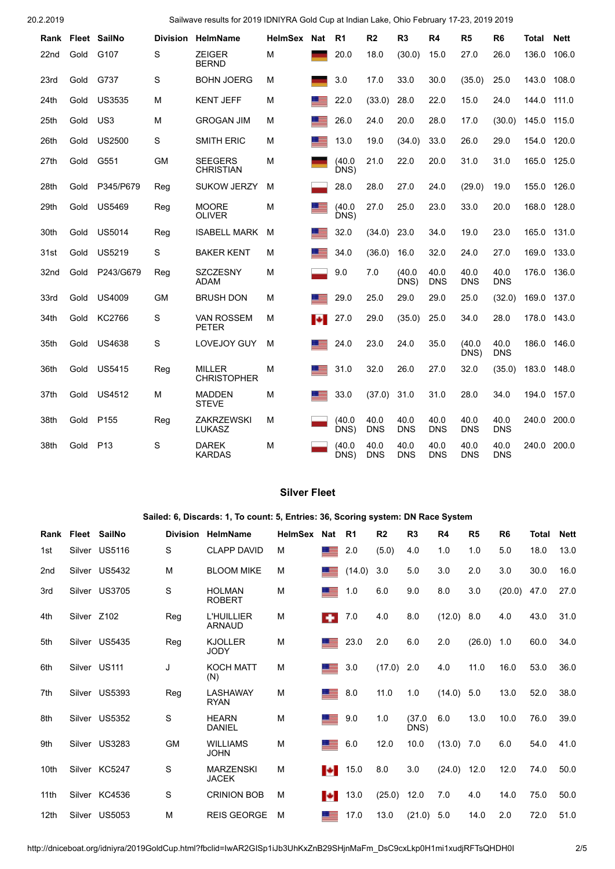|      |      | Rank Fleet SailNo | <b>Division</b> | <b>HelmName</b>                     | HelmSex Nat |                  | R1             | R2                 | R3                 | R4                 | R <sub>5</sub>     | R <sub>6</sub>     | Total | <b>Nett</b> |
|------|------|-------------------|-----------------|-------------------------------------|-------------|------------------|----------------|--------------------|--------------------|--------------------|--------------------|--------------------|-------|-------------|
| 22nd | Gold | G107              | S               | <b>ZEIGER</b><br><b>BERND</b>       | M           |                  | 20.0           | 18.0               | (30.0)             | 15.0               | 27.0               | 26.0               | 136.0 | 106.0       |
| 23rd | Gold | G737              | S               | <b>BOHN JOERG</b>                   | M           |                  | 3.0            | 17.0               | 33.0               | 30.0               | (35.0)             | 25.0               | 143.0 | 108.0       |
| 24th | Gold | <b>US3535</b>     | М               | <b>KENT JEFF</b>                    | M           |                  | 22.0           | (33.0)             | 28.0               | 22.0               | 15.0               | 24.0               | 144.0 | 111.0       |
| 25th | Gold | US3               | M               | <b>GROGAN JIM</b>                   | М           |                  | 26.0           | 24.0               | 20.0               | 28.0               | 17.0               | (30.0)             | 145.0 | 115.0       |
| 26th | Gold | <b>US2500</b>     | S               | <b>SMITH ERIC</b>                   | M           |                  | 13.0           | 19.0               | (34.0)             | 33.0               | 26.0               | 29.0               | 154.0 | 120.0       |
| 27th | Gold | G551              | <b>GM</b>       | <b>SEEGERS</b><br><b>CHRISTIAN</b>  | м           |                  | (40.0)<br>DNS) | 21.0               | 22.0               | 20.0               | 31.0               | 31.0               | 165.0 | 125.0       |
| 28th | Gold | P345/P679         | Reg             | <b>SUKOW JERZY</b>                  | м           |                  | 28.0           | 28.0               | 27.0               | 24.0               | (29.0)             | 19.0               | 155.0 | 126.0       |
| 29th | Gold | <b>US5469</b>     | Reg             | <b>MOORE</b><br><b>OLIVER</b>       | M           |                  | (40.0)<br>DNS) | 27.0               | 25.0               | 23.0               | 33.0               | 20.0               | 168.0 | 128.0       |
| 30th | Gold | <b>US5014</b>     | Reg             | <b>ISABELL MARK</b>                 | м           |                  | 32.0           | (34.0)             | 23.0               | 34.0               | 19.0               | 23.0               | 165.0 | 131.0       |
| 31st | Gold | <b>US5219</b>     | S               | <b>BAKER KENT</b>                   | М           |                  | 34.0           | (36.0)             | 16.0               | 32.0               | 24.0               | 27.0               | 169.0 | 133.0       |
| 32nd | Gold | P243/G679         | Reg             | <b>SZCZESNY</b><br>ADAM             | M           |                  | 9.0            | 7.0                | (40.0)<br>DNS)     | 40.0<br><b>DNS</b> | 40.0<br><b>DNS</b> | 40.0<br><b>DNS</b> | 176.0 | 136.0       |
| 33rd | Gold | US4009            | <b>GM</b>       | <b>BRUSH DON</b>                    | м           |                  | 29.0           | 25.0               | 29.0               | 29.0               | 25.0               | (32.0)             | 169.0 | 137.0       |
| 34th | Gold | KC2766            | $\mathbf S$     | <b>VAN ROSSEM</b><br><b>PETER</b>   | М           | $\ddot{\bullet}$ | 27.0           | 29.0               | (35.0)             | 25.0               | 34.0               | 28.0               | 178.0 | 143.0       |
| 35th | Gold | US4638            | S               | <b>LOVEJOY GUY</b>                  | М           |                  | 24.0           | 23.0               | 24.0               | 35.0               | (40.0)<br>DNS)     | 40.0<br><b>DNS</b> | 186.0 | 146.0       |
| 36th | Gold | <b>US5415</b>     | Reg             | <b>MILLER</b><br><b>CHRISTOPHER</b> | M           |                  | 31.0           | 32.0               | 26.0               | 27.0               | 32.0               | (35.0)             | 183.0 | 148.0       |
| 37th | Gold | <b>US4512</b>     | М               | <b>MADDEN</b><br><b>STEVE</b>       | М           |                  | 33.0           | (37.0)             | 31.0               | 31.0               | 28.0               | 34.0               | 194.0 | 157.0       |
| 38th | Gold | P <sub>155</sub>  | Reg             | <b>ZAKRZEWSKI</b><br><b>LUKASZ</b>  | М           |                  | (40.0)<br>DNS) | 40.0<br><b>DNS</b> | 40.0<br><b>DNS</b> | 40.0<br><b>DNS</b> | 40.0<br>DNS        | 40.0<br><b>DNS</b> | 240.0 | 200.0       |
| 38th | Gold | P <sub>13</sub>   | S               | <b>DAREK</b><br><b>KARDAS</b>       | М           |                  | (40.0)<br>DNS) | 40.0<br><b>DNS</b> | 40.0<br><b>DNS</b> | 40.0<br><b>DNS</b> | 40.0<br><b>DNS</b> | 40.0<br><b>DNS</b> | 240.0 | 200.0       |

# **Silver Fleet**

**Sailed: 6, Discards: 1, To count: 5, Entries: 36, Scoring system: DN Race System**

<span id="page-1-0"></span>

|                 |             | Rank Fleet SailNo | <b>Division</b> | <b>HelmName</b>                    | <b>HelmSex</b> | <b>Nat</b>       | R1     | R <sub>2</sub> | R3             | R4            | R <sub>5</sub> | R <sub>6</sub> | Total | <b>Nett</b> |
|-----------------|-------------|-------------------|-----------------|------------------------------------|----------------|------------------|--------|----------------|----------------|---------------|----------------|----------------|-------|-------------|
| 1st             |             | Silver US5116     | S               | <b>CLAPP DAVID</b>                 | M              | <u>e se</u>      | 2.0    | (5.0)          | 4.0            | 1.0           | 1.0            | 5.0            | 18.0  | 13.0        |
| 2 <sub>nd</sub> |             | Silver US5432     | M               | <b>BLOOM MIKE</b>                  | M              |                  | (14.0) | 3.0            | 5.0            | 3.0           | 2.0            | 3.0            | 30.0  | 16.0        |
| 3rd             |             | Silver US3705     | S               | <b>HOLMAN</b><br><b>ROBERT</b>     | M              | 트                | 1.0    | 6.0            | 9.0            | 8.0           | 3.0            | (20.0)         | 47.0  | 27.0        |
| 4th             | Silver Z102 |                   | Reg             | <b>L'HUILLIER</b><br><b>ARNAUD</b> | M              | ۰                | 7.0    | 4.0            | 8.0            | (12.0)        | 8.0            | 4.0            | 43.0  | 31.0        |
| 5th             |             | Silver US5435     | Reg             | <b>KJOLLER</b><br><b>JODY</b>      | M              | 드르               | 23.0   | 2.0            | 6.0            | 2.0           | (26.0)         | 1.0            | 60.0  | 34.0        |
| 6th             |             | Silver US111      | J               | <b>KOCH MATT</b><br>(N)            | м              | $\equiv$         | 3.0    | (17.0)         | 2.0            | 4.0           | 11.0           | 16.0           | 53.0  | 36.0        |
| 7th             |             | Silver US5393     | Reg             | <b>LASHAWAY</b><br><b>RYAN</b>     | M              | 三                | 8.0    | 11.0           | 1.0            | (14.0)        | 5.0            | 13.0           | 52.0  | 38.0        |
| 8th             |             | Silver US5352     | S               | <b>HEARN</b><br><b>DANIEL</b>      | M              | 트                | 9.0    | 1.0            | (37.0)<br>DNS) | 6.0           | 13.0           | 10.0           | 76.0  | 39.0        |
| 9th             |             | Silver US3283     | <b>GM</b>       | <b>WILLIAMS</b><br><b>JOHN</b>     | M              | 드                | 6.0    | 12.0           | 10.0           | (13.0)        | 7.0            | 6.0            | 54.0  | 41.0        |
| 10th            |             | Silver KC5247     | S               | <b>MARZENSKI</b><br><b>JACEK</b>   | M              | $\ddot{\bullet}$ | 15.0   | 8.0            | 3.0            | $(24.0)$ 12.0 |                | 12.0           | 74.0  | 50.0        |
| 11th            |             | Silver KC4536     | S               | <b>CRINION BOB</b>                 | м              | Н                | 13.0   | (25.0)         | 12.0           | 7.0           | 4.0            | 14.0           | 75.0  | 50.0        |
| 12th            |             | Silver US5053     | M               | <b>REIS GEORGE</b>                 | М              |                  | 17.0   | 13.0           | (21.0)         | 5.0           | 14.0           | 2.0            | 72.0  | 51.0        |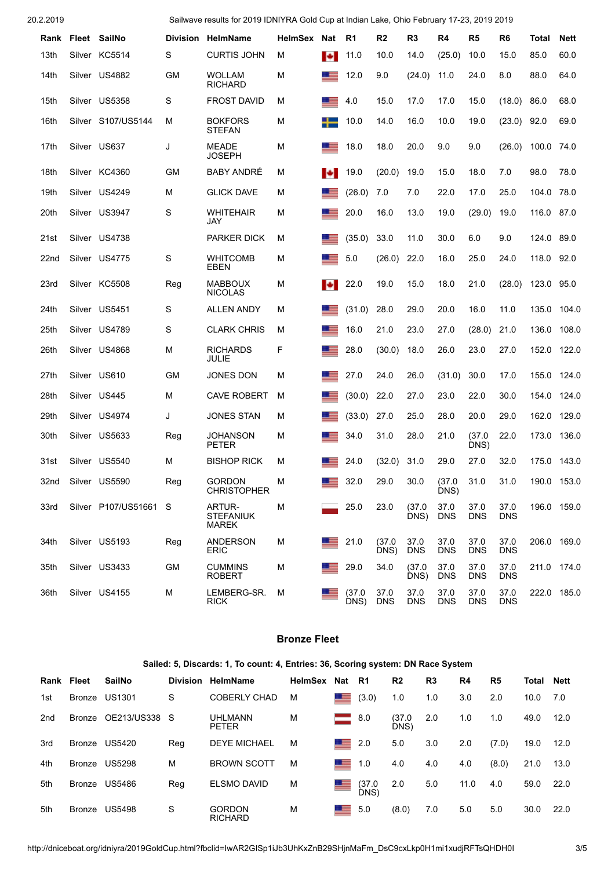|                  | Rank Fleet SailNo     |           | Division HelmName                          | HelmSex Nat |    | R1             | R <sub>2</sub>     | R3                 | R4                 | R5                 | R6                 | Total      | Nett        |
|------------------|-----------------------|-----------|--------------------------------------------|-------------|----|----------------|--------------------|--------------------|--------------------|--------------------|--------------------|------------|-------------|
| 13th             | Silver KC5514         | S         | <b>CURTIS JOHN</b>                         | М           | ы  | 11.0           | 10.0               | 14.0               | (25.0)             | 10.0               | 15.0               | 85.0       | 60.0        |
| 14th             | Silver US4882         | GМ        | <b>WOLLAM</b><br><b>RICHARD</b>            | М           |    | 12.0           | 9.0                | (24.0)             | 11.0               | 24.0               | 8.0                | 88.0       | 64.0        |
| 15th             | Silver US5358         | S         | <b>FROST DAVID</b>                         | M           |    | 4.0            | 15.0               | 17.0               | 17.0               | 15.0               | (18.0)             | 86.0       | 68.0        |
| 16th             | Silver S107/US5144    | М         | <b>BOKFORS</b><br><b>STEFAN</b>            | M           |    | 10.0           | 14.0               | 16.0               | 10.0               | 19.0               | (23.0)             | 92.0       | 69.0        |
| 17th             | Silver US637          | J         | <b>MEADE</b><br><b>JOSEPH</b>              | М           | ▝▝ | 18.0           | 18.0               | 20.0               | 9.0                | 9.0                | (26.0)             | 100.0 74.0 |             |
| 18th             | Silver KC4360         | GМ        | <b>BABY ANDRÉ</b>                          | М           | ы  | 19.0           | (20.0)             | 19.0               | 15.0               | 18.0               | 7.0                | 98.0       | 78.0        |
| 19th             | Silver US4249         | M         | <b>GLICK DAVE</b>                          | М           |    | (26.0)         | 7.0                | 7.0                | 22.0               | 17.0               | 25.0               | 104.0      | 78.0        |
| 20th             | Silver US3947         | S         | <b>WHITEHAIR</b><br>JAY                    | м           |    | 20.0           | 16.0               | 13.0               | 19.0               | (29.0)             | 19.0               | 116.0      | 87.0        |
| 21st             | Silver US4738         |           | <b>PARKER DICK</b>                         | M           |    | (35.0)         | 33.0               | 11.0               | 30.0               | 6.0                | 9.0                | 124.0      | 89.0        |
| 22 <sub>nd</sub> | Silver US4775         | S         | <b>WHITCOMB</b><br>EBEN                    | M           |    | 5.0            | (26.0)             | 22.0               | 16.0               | 25.0               | 24.0               | 118.0      | 92.0        |
| 23rd             | Silver KC5508         | Reg       | <b>MABBOUX</b><br><b>NICOLAS</b>           | м           | ы  | 22.0           | 19.0               | 15.0               | 18.0               | 21.0               | (28.0)             | 123.0 95.0 |             |
| 24th             | Silver US5451         | S         | <b>ALLEN ANDY</b>                          | М           | ▝▝ | (31.0)         | 28.0               | 29.0               | 20.0               | 16.0               | 11.0               | 135.0      | 104.0       |
| 25th             | Silver US4789         | S         | <b>CLARK CHRIS</b>                         | M           |    | 16.0           | 21.0               | 23.0               | 27.0               | (28.0)             | 21.0               | 136.0      | 108.0       |
| 26th             | Silver US4868         | М         | <b>RICHARDS</b><br>JULIE                   | F           |    | 28.0           | (30.0)             | 18.0               | 26.0               | 23.0               | 27.0               | 152.0      | 122.0       |
| 27th             | Silver US610          | GМ        | JONES DON                                  | М           |    | 27.0           | 24.0               | 26.0               | (31.0)             | 30.0               | 17.0               | 155.0      | 124.0       |
| 28th             | Silver US445          | м         | <b>CAVE ROBERT</b>                         | м           |    | (30.0)         | 22.0               | 27.0               | 23.0               | 22.0               | 30.0               | 154.0      | 124.0       |
| 29th             | Silver US4974         | J         | <b>JONES STAN</b>                          | M           |    | (33.0)         | 27.0               | 25.0               | 28.0               | 20.0               | 29.0               | 162.0      | 129.0       |
| 30th             | Silver US5633         | Reg       | <b>JOHANSON</b><br><b>PETER</b>            | M           | ▝▝ | 34.0           | 31.0               | 28.0               | 21.0               | (37.0)<br>DNS)     | 22.0               | 173.0      | 136.0       |
| 31st             | Silver US5540         | М         | <b>BISHOP RICK</b>                         | M           |    | 24.0           | (32.0)             | 31.0               | 29.0               | 27.0               | 32.0               | 175.0      | 143.0       |
| 32nd             | Silver US5590         | Reg       | <b>GORDON</b><br><b>CHRISTOPHER</b>        | M           |    | 32.0           | 29.0               | 30.0               | (37.0<br>DNS)      | 31.0               | 31.0               |            | 190.0 153.0 |
| 33rd             | Silver P107/US51661 S |           | ARTUR-<br><b>STEFANIUK</b><br><b>MAREK</b> | M           |    | 25.0           | 23.0               | (37.0)<br>DNS)     | 37.0<br><b>DNS</b> | 37.0<br><b>DNS</b> | 37.0<br><b>DNS</b> |            | 196.0 159.0 |
| 34th             | Silver US5193         | Reg       | <b>ANDERSON</b><br><b>ERIC</b>             | M           | __ | 21.0           | (37.0)<br>DNS)     | 37.0<br><b>DNS</b> | 37.0<br><b>DNS</b> | 37.0<br><b>DNS</b> | 37.0<br><b>DNS</b> |            | 206.0 169.0 |
| 35th             | Silver US3433         | <b>GM</b> | <b>CUMMINS</b><br><b>ROBERT</b>            | M           |    | 29.0           | 34.0               | (37.0)<br>DNS)     | 37.0<br><b>DNS</b> | 37.0<br><b>DNS</b> | 37.0<br><b>DNS</b> |            | 211.0 174.0 |
| 36th             | Silver US4155         | М         | LEMBERG-SR.<br><b>RICK</b>                 | M           |    | (37.0)<br>DNS) | 37.0<br><b>DNS</b> | 37.0<br><b>DNS</b> | 37.0<br><b>DNS</b> | 37.0<br><b>DNS</b> | 37.0<br><b>DNS</b> |            | 222.0 185.0 |

## **Bronze Fleet**

### **Sailed: 5, Discards: 1, To count: 4, Entries: 36, Scoring system: DN Race System**

<span id="page-2-0"></span>

| Rank | Fleet         | SailNo        | <b>Division</b> | HelmName                        | HelmSex Nat |              | R1             | R <sub>2</sub> | R <sub>3</sub> | R4   | R <sub>5</sub> | Total | Nett |
|------|---------------|---------------|-----------------|---------------------------------|-------------|--------------|----------------|----------------|----------------|------|----------------|-------|------|
| 1st  | <b>Bronze</b> | <b>US1301</b> | S               | <b>COBERLY CHAD</b>             | M           | 드르           | (3.0)          | 1.0            | 1.0            | 3.0  | 2.0            | 10.0  | 7.0  |
| 2nd  | Bronze        | OE213/US338 S |                 | UHLMANN<br><b>PETER</b>         | М           |              | 8.0            | (37.0<br>DNS)  | 2.0            | 1.0  | 1.0            | 49.0  | 12.0 |
| 3rd  | Bronze        | US5420        | Reg             | <b>DEYE MICHAEL</b>             | M           | 트            | 2.0            | 5.0            | 3.0            | 2.0  | (7.0)          | 19.0  | 12.0 |
| 4th  | <b>Bronze</b> | <b>US5298</b> | M               | <b>BROWN SCOTT</b>              | M           | 드            | 1.0            | 4.0            | 4.0            | 4.0  | (8.0)          | 21.0  | 13.0 |
| 5th  | Bronze        | <b>US5486</b> | Reg             | <b>ELSMO DAVID</b>              | M           | 트            | (37.0)<br>DNS) | 2.0            | 5.0            | 11.0 | 4.0            | 59.0  | 22.0 |
| 5th  | Bronze        | <b>US5498</b> | S               | <b>GORDON</b><br><b>RICHARD</b> | М           | <u>s and</u> | 5.0            | (8.0)          | 7.0            | 5.0  | 5.0            | 30.0  | 22.0 |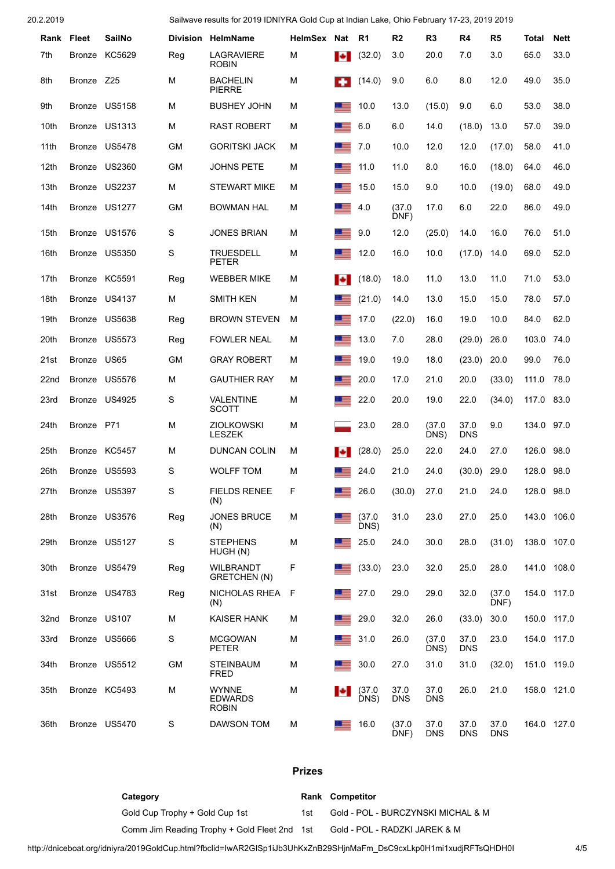|      | Rank Fleet   | <b>SailNo</b> |             | Division HelmName                              | HelmSex Nat |            | - R1           | R <sub>2</sub>     | R3                 | R4                 | R5                 | Total      | Nett        |
|------|--------------|---------------|-------------|------------------------------------------------|-------------|------------|----------------|--------------------|--------------------|--------------------|--------------------|------------|-------------|
| 7th  | Bronze       | KC5629        | Reg         | LAGRAVIERE<br><b>ROBIN</b>                     | м           | <b>E</b>   | (32.0)         | 3.0                | 20.0               | 7.0                | 3.0                | 65.0       | 33.0        |
| 8th  | Bronze       | Z25           | M           | <b>BACHELIN</b><br><b>PIERRE</b>               | М           | . .        | (14.0)         | 9.0                | 6.0                | 8.0                | 12.0               | 49.0       | 35.0        |
| 9th  |              | Bronze US5158 | м           | <b>BUSHEY JOHN</b>                             | м           |            | 10.0           | 13.0               | (15.0)             | 9.0                | 6.0                | 53.0       | 38.0        |
| 10th | Bronze       | <b>US1313</b> | М           | <b>RAST ROBERT</b>                             | м           | 三          | 6.0            | 6.0                | 14.0               | (18.0)             | 13.0               | 57.0       | 39.0        |
| 11th |              | Bronze US5478 | <b>GM</b>   | <b>GORITSKI JACK</b>                           | м           | ▝▀         | 7.0            | 10.0               | 12.0               | 12.0               | (17.0)             | 58.0       | 41.0        |
| 12th |              | Bronze US2360 | <b>GM</b>   | <b>JOHNS PETE</b>                              | м           | ÷          | 11.0           | 11.0               | 8.0                | 16.0               | (18.0)             | 64.0       | 46.0        |
| 13th |              | Bronze US2237 | М           | <b>STEWART MIKE</b>                            | м           |            | 15.0           | 15.0               | 9.0                | 10.0               | (19.0)             | 68.0       | 49.0        |
| 14th |              | Bronze US1277 | <b>GM</b>   | <b>BOWMAN HAL</b>                              | м           | 三          | 4.0            | (37.0<br>DNF)      | 17.0               | 6.0                | 22.0               | 86.0       | 49.0        |
| 15th |              | Bronze US1576 | S           | <b>JONES BRIAN</b>                             | М           | <u> =</u>  | 9.0            | 12.0               | (25.0)             | 14.0               | 16.0               | 76.0       | 51.0        |
| 16th |              | Bronze US5350 | S           | <b>TRUESDELL</b><br><b>PETER</b>               | М           |            | 12.0           | 16.0               | 10.0               | (17.0)             | 14.0               | 69.0       | 52.0        |
| 17th |              | Bronze KC5591 | Reg         | <b>WEBBER MIKE</b>                             | м           | ы          | (18.0)         | 18.0               | 11.0               | 13.0               | 11.0               | 71.0       | 53.0        |
| 18th |              | Bronze US4137 | М           | SMITH KEN                                      | м           |            | (21.0)         | 14.0               | 13.0               | 15.0               | 15.0               | 78.0       | 57.0        |
| 19th | Bronze       | <b>US5638</b> | Reg         | <b>BROWN STEVEN</b>                            | м           | ▁▆         | 17.0           | (22.0)             | 16.0               | 19.0               | 10.0               | 84.0       | 62.0        |
| 20th |              | Bronze US5573 | Reg         | <b>FOWLER NEAL</b>                             | М           | 三          | 13.0           | 7.0                | 28.0               | (29.0)             | 26.0               | 103.0      | 74.0        |
| 21st | Bronze       | <b>US65</b>   | <b>GM</b>   | <b>GRAY ROBERT</b>                             | M           | <u>est</u> | 19.0           | 19.0               | 18.0               | (23.0)             | 20.0               | 99.0       | 76.0        |
| 22nd |              | Bronze US5576 | М           | <b>GAUTHIER RAY</b>                            | м           | 一三         | 20.0           | 17.0               | 21.0               | 20.0               | (33.0)             | 111.0      | 78.0        |
| 23rd |              | Bronze US4925 | S           | VALENTINE<br><b>SCOTT</b>                      | М           | ▝▀         | 22.0           | 20.0               | 19.0               | 22.0               | (34.0)             | 117.0      | 83.0        |
| 24th | Bronze P71   |               | м           | <b>ZIOLKOWSKI</b><br><b>LESZEK</b>             | м           |            | 23.0           | 28.0               | (37.0)<br>DNS)     | 37.0<br><b>DNS</b> | 9.0                | 134.0      | 97.0        |
| 25th |              | Bronze KC5457 | м           | DUNCAN COLIN                                   | м           | ы          | (28.0)         | 25.0               | 22.0               | 24.0               | 27.0               | 126.0      | 98.0        |
| 26th |              | Bronze US5593 | S           | <b>WOLFF TOM</b>                               | M           |            | 24.0           | 21.0               | 24.0               | (30.0)             | 29.0               | 128.0      | 98.0        |
| 27th |              | Bronze US5397 | S           | <b>FIELDS RENEE</b><br>(N)                     | F           |            | 26.0           | (30.0)             | 27.0               | 21.0               | 24.0               | 128.0 98.0 |             |
| 28th |              | Bronze US3576 | Reg         | <b>JONES BRUCE</b><br>(N)                      | м           | 드          | (37.0)<br>DNS) | 31.0               | 23.0               | 27.0               | 25.0               |            | 143.0 106.0 |
| 29th |              | Bronze US5127 | $\mathbb S$ | <b>STEPHENS</b><br>HUGH (N)                    | M           |            | 25.0           | 24.0               | 30.0               | 28.0               | (31.0)             |            | 138.0 107.0 |
| 30th |              | Bronze US5479 | Reg         | <b>WILBRANDT</b><br>GRETCHEN (N)               | F           |            | (33.0)         | 23.0               | 32.0               | 25.0               | 28.0               |            | 141.0 108.0 |
| 31st |              | Bronze US4783 | Reg         | NICHOLAS RHEA<br>(N)                           | F           | <u>e e</u> | 27.0           | 29.0               | 29.0               | 32.0               | (37.0)<br>DNF)     |            | 154.0 117.0 |
| 32nd | Bronze US107 |               | м           | <b>KAISER HANK</b>                             | М           | ≡          | 29.0           | 32.0               | 26.0               | (33.0)             | 30.0               |            | 150.0 117.0 |
| 33rd |              | Bronze US5666 | S           | <b>MCGOWAN</b><br><b>PETER</b>                 | M           | 드          | 31.0           | 26.0               | (37.0)<br>DNS)     | 37.0<br><b>DNS</b> | 23.0               |            | 154.0 117.0 |
| 34th |              | Bronze US5512 | <b>GM</b>   | <b>STEINBAUM</b><br><b>FRED</b>                | M           | ÷          | 30.0           | 27.0               | 31.0               | 31.0               | (32.0)             |            | 151.0 119.0 |
| 35th |              | Bronze KC5493 | M           | <b>WYNNE</b><br><b>EDWARDS</b><br><b>ROBIN</b> | M           | H          | (37.0)<br>DNS) | 37.0<br><b>DNS</b> | 37.0<br><b>DNS</b> | 26.0               | 21.0               |            | 158.0 121.0 |
| 36th |              | Bronze US5470 | S           | DAWSON TOM                                     | M           | ≡          | 16.0           | (37.0)<br>DNF)     | 37.0<br><b>DNS</b> | 37.0<br><b>DNS</b> | 37.0<br><b>DNS</b> |            | 164.0 127.0 |

#### **Prizes**

### **Category Rank Competitor**

Gold Cup Trophy + Gold Cup 1st 1st Gold - POL - BURCZYNSKI MICHAL & M

Comm Jim Reading Trophy + Gold Fleet 2nd 1st Gold - POL - RADZKI JAREK & M